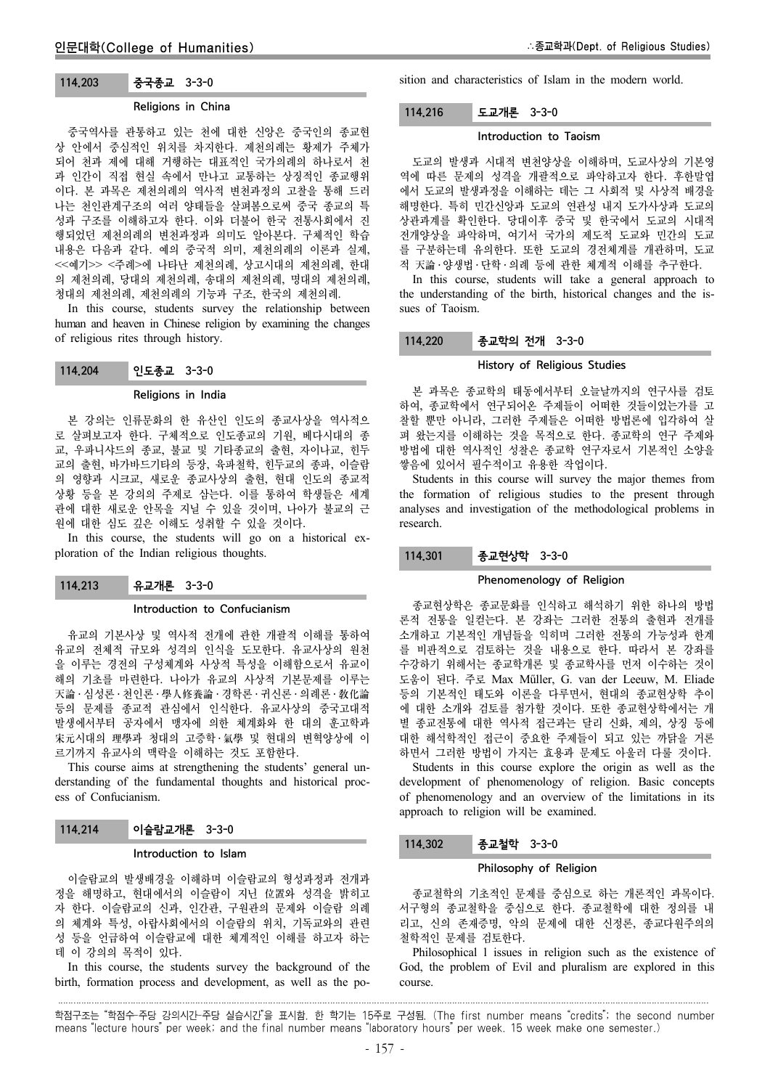# 114.203 중국종교 3-3-0

# Religions in China

중국역사를 관통하고 있는 천에 대한 신앙은 중국인의 종교현 상 안에서 중심적인 위치를 차지한다. 제천의례는 황제가 주체가 되어 천과 제에 대해 거행하는 대표적인 국가의례의 하나로서 천 과 인간이 직접 현실 속에서 만나고 교통하는 상징적인 종교행위 이다. 본 과목은 제천의례의 역사적 변천과정의 고찰을 통해 드러 나는 천인관계구조의 여러 양태들을 살펴봄으로써 중국 종교의 특 성과 구조를 이해하고자 한다. 이와 더불어 한국 전통사회에서 진 행되었던 제천의례의 변천과정과 의미도 알아본다. 구체적인 학습 내용은 다음과 같다. 예의 중국적 의미, 제천의례의 이론과 실제, <<예기>> <주례>에 나타난 제천의례, 상고시대의 제천의례, 한대 의 제천의례, 당대의 제천의례, 송대의 제천의례, 명대의 제천의례, 청대의 제천의례, 제천의례의 기능과 구조, 한국의 제천의례.

In this course, students survey the relationship between human and heaven in Chinese religion by examining the changes of religious rites through history.

114.204 인도종교 3-3-0

#### Religions in India

본 강의는 인류문화의 한 유산인 인도의 종교사상을 역사적으 로 살펴보고자 한다. 구체적으로 인도종교의 기원, 베다시대의 종 교, 우파니샤드의 종교, 불교 및 기타종교의 출현, 자이나교, 힌두 교의 출현, 바가바드기타의 등장, 육파철학, 힌두교의 종파, 이슬람 의 영향과 시크교, 새로운 종교사상의 출현, 현대 인도의 종교적 상황 등을 본 강의의 주제로 삼는다. 이를 통하여 학생들은 세계 관에 대한 새로운 안목을 지닐 수 있을 것이며, 나아가 불교의 근 원에 대한 심도 깊은 이해도 성취할 수 있을 것이다.

In this course, the students will go on a historical exploration of the Indian religious thoughts.

# 114.213 유교개론 3-3-0

### Introduction to Confucianism

유교의 기본사상 및 역사적 전개에 관한 개괄적 이해를 통하여 유교의 전체적 규모와 성격의 인식을 도모한다. 유교사상의 원천 을 이루는 경전의 구성체계와 사상적 특성을 이해함으로서 유교이 해의 기초를 마련한다. 나아가 유교의 사상적 기본문제를 이루는 天論 ․ 심성론 ․ 천인론 ․ 學人修養論 ․ 경학론 ․ 귀신론 ․ 의례론 ․ 敎化論 등의 문제를 종교적 관심에서 인식한다. 유교사상의 중국고대적 발생에서부터 공자에서 맹자에 의한 체계화와 한 대의 훈고학과 宋元시대의 理學과 청대의 고증학 ․ 氣學 및 현대의 변혁양상에 이 르기까지 유교사의 맥락을 이해하는 것도 포함한다.

This course aims at strengthening the students' general understanding of the fundamental thoughts and historical process of Confucianism.

# 114.214 이슬람교개론 3-3-0

### Introduction to Islam

이슬람교의 발생배경을 이해하며 이슬람교의 형성과정과 전개과 정을 해명하고, 현대에서의 이슬람이 지닌 位置와 성격을 밝히고 자 한다. 이슬람교의 신과, 인간관, 구원관의 문제와 이슬람 의례 의 체계와 특성, 아랍사회에서의 이슬람의 위치, 기독교와의 관련 성 등을 언급하여 이슬람교에 대한 체계적인 이해를 하고자 하는 데 이 강의의 목적이 있다.

In this course, the students survey the background of the birth, formation process and development, as well as the position and characteristics of Islam in the modern world.

# 114.216 도교개론 3-3-0

#### Introduction to Taoism

도교의 발생과 시대적 변천양상을 이해하며, 도교사상의 기본영 역에 따른 문제의 성격을 개괄적으로 파악하고자 한다. 후한말엽 에서 도교의 발생과정을 이해하는 데는 그 사회적 및 사상적 배경을 해명한다. 특히 민간신앙과 도교의 연관성 내지 도가사상과 도교의 상관과계를 확인한다. 당대이후 중국 및 한국에서 도교의 시대적 전개양상을 파악하며, 여기서 국가의 제도적 도교와 민간의 도교 를 구분하는데 유의한다. 또한 도교의 경전체계를 개관하며, 도교 적 天論 ․ 양생법 ․ 단학 ․ 의례 등에 관한 체계적 이해를 추구한다.

In this course, students will take a general approach to the understanding of the birth, historical changes and the issues of Taoism.

## 114.220 종교학의 전개 3-3-0

### History of Religious Studies

본 과목은 종교학의 태동에서부터 오늘날까지의 연구사를 검토 하여, 종교학에서 연구되어온 주제들이 어떠한 것들이었는가를 고 찰할 뿐만 아니라, 그러한 주제들은 어떠한 방법론에 입각하여 살 펴 왔는지를 이해하는 것을 목적으로 한다. 종교학의 연구 주제와 방법에 대한 역사적인 성찰은 종교학 연구자로서 기본적인 소양을 쌓음에 있어서 필수적이고 유용한 작업이다.

Students in this course will survey the major themes from the formation of religious studies to the present through analyses and investigation of the methodological problems in research.

114.301 종교현상학 3-3-0

### Phenomenology of Religion

종교현상학은 종교문화를 인식하고 해석하기 위한 하나의 방법 론적 전통을 일컫는다. 본 강좌는 그러한 전통의 출현과 전개를 소개하고 기본적인 개념들을 익히며 그러한 전통의 가능성과 한계 를 비판적으로 검토하는 것을 내용으로 한다. 따라서 본 강좌를 수강하기 위해서는 종교학개론 및 종교학사를 먼저 이수하는 것이 도움이 된다. 주로 Max Műller, G. van der Leeuw, M. Eliade 등의 기본적인 태도와 이론을 다루면서, 현대의 종교현상학 추이 에 대한 소개와 검토를 첨가할 것이다. 또한 종교현상학에서는 개 별 종교전통에 대한 역사적 접근과는 달리 신화, 제의, 상징 등에 대한 해석학적인 접근이 중요한 주제들이 되고 있는 까닭을 거론 하면서 그러한 방법이 가지는 효용과 문제도 아울러 다룰 것이다.

Students in this course explore the origin as well as the development of phenomenology of religion. Basic concepts of phenomenology and an overview of the limitations in its approach to religion will be examined.

# 114.302 종교철학 3-3-0

### Philosophy of Religion

종교철학의 기초적인 문제를 중심으로 하는 개론적인 과목이다. 서구형의 종교철학을 중심으로 한다. 종교철학에 대한 정의를 내 리고, 신의 존재증명, 악의 문제에 대한 신정론, 종교다원주의의 철학적인 문제를 검토한다.

Philosophical l issues in religion such as the existence of God, the problem of Evil and pluralism are explored in this course.

학점구조는 "학점수-주당 강의시간-주당 실습시간"을 표시함. 한 학기는 15주로 구성됨. (The first number means "credits"; the second number means "lecture hours" per week; and the final number means "laboratory hours" per week. 15 week make one semester.)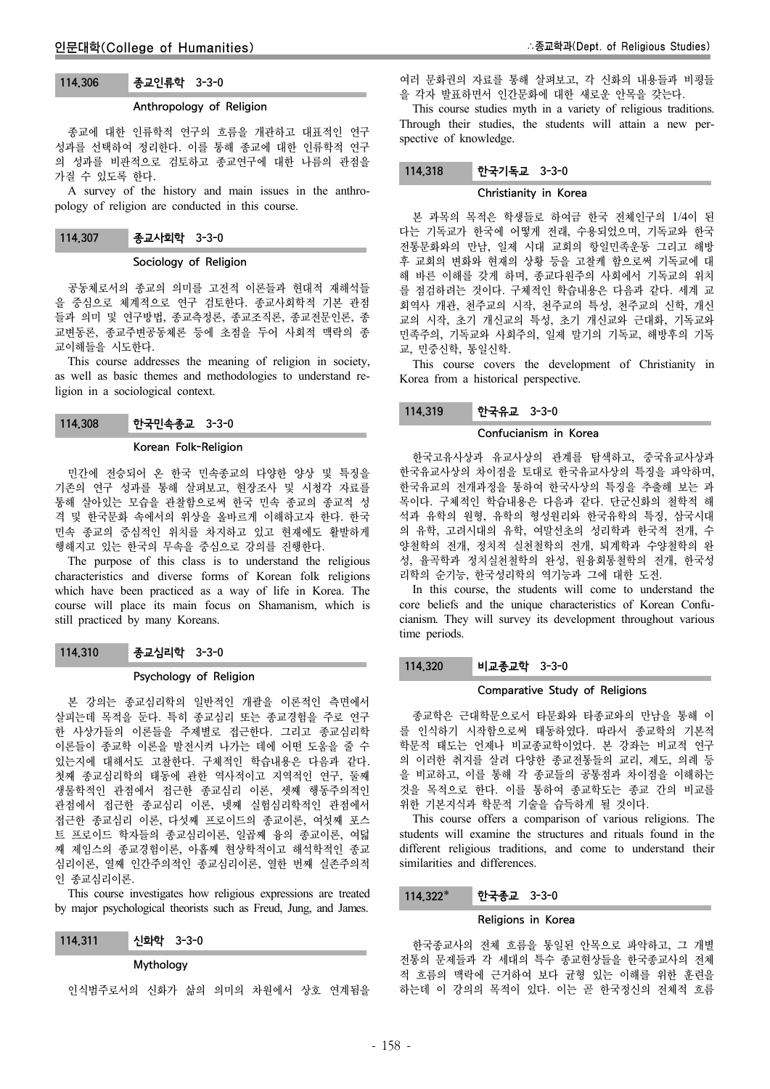# 114.306 종교인류학 3-3-0

# Anthropology of Religion

종교에 대한 인류학적 연구의 흐름을 개관하고 대표적인 연구 성과를 선택하여 정리한다. 이를 통해 종교에 대한 인류학적 연구 의 성과를 비판적으로 검토하고 종교연구에 대한 나름의 관점을 가질 수 있도록 한다.

A survey of the history and main issues in the anthropology of religion are conducted in this course.

# 114.307 종교사회학 3-3-0

## Sociology of Religion

공동체로서의 종교의 의미를 고전적 이론들과 현대적 재해석들 을 중심으로 체계적으로 연구 검토한다. 종교사회학적 기본 관점 들과 의미 및 연구방법, 종교측정론, 종교조직론, 종교전문인론, 종 교변동론, 종교주변공동체론 등에 초점을 두어 사회적 맥락의 종 교이해들을 시도한다.

This course addresses the meaning of religion in society, as well as basic themes and methodologies to understand religion in a sociological context.

114.308 한국민속종교 3-3-0

#### Korean Folk-Religion

민간에 전승되어 온 한국 민속종교의 다양한 양상 및 특징을 기존의 연구 성과를 통해 살펴보고, 현장조사 및 시청각 자료를 통해 살아있는 모습을 관찰함으로써 한국 민속 종교의 종교적 성 격 및 한국문화 속에서의 위상을 올바르게 이해하고자 한다. 한국 민속 종교의 중심적인 위치를 차지하고 있고 현재에도 활발하게 행해지고 있는 한국의 무속을 중심으로 강의를 진행한다.

The purpose of this class is to understand the religious characteristics and diverse forms of Korean folk religions which have been practiced as a way of life in Korea. The course will place its main focus on Shamanism, which is still practiced by many Koreans.

114.310 종교심리학 3-3-0

### Psychology of Religion

본 강의는 종교심리학의 일반적인 개괄을 이론적인 측면에서 살피는데 목적을 둔다. 특히 종교심리 또는 종교경험을 주로 연구 한 사상가들의 이론들을 주제별로 접근한다. 그리고 종교심리학 이론들이 종교학 이론을 발전시켜 나가는 데에 어떤 도움을 줄 수 있는지에 대해서도 고찰한다. 구체적인 학습내용은 다음과 같다. 첫째 종교심리학의 태동에 관한 역사적이고 지역적인 연구, 둘째 생물학적인 관점에서 접근한 종교심리 이론, 셋째 행동주의적인 관점에서 접근한 종교심리 이론, 넷째 실험심리학적인 관점에서 접근한 종교심리 이론, 다섯째 프로이드의 종교이론, 여섯째 포스 트 프로이드 학자들의 종교심리이론, 일곱째 융의 종교이론, 여덟 째 제임스의 종교경험이론, 아홉째 현상학적이고 해석학적인 종교 심리이론, 열째 인간주의적인 종교심리이론, 열한 번째 실존주의적 인 종교심리이론.

This course investigates how religious expressions are treated by major psychological theorists such as Freud, Jung, and James.

### Mythology

인식범주로서의 신화가 삶의 의미의 차원에서 상호 연계됨을

여러 문화권의 자료를 통해 살펴보고, 각 신화의 내용들과 비평들 을 각자 발표하면서 인간문화에 대한 새로운 안목을 갖는다.

This course studies myth in a variety of religious traditions. Through their studies, the students will attain a new perspective of knowledge.

# 114.318 한국기독교 3-3-0

### Christianity in Korea

본 과목의 목적은 학생들로 하여금 한국 전체인구의 1/4이 된 다는 기독교가 한국에 어떻게 전래, 수용되었으며, 기독교와 한국 전통문화와의 만남, 일제 시대 교회의 항일민족운동 그리고 해방 후 교회의 변화와 현재의 상황 등을 고찰케 함으로써 기독교에 대 해 바른 이해를 갖게 하며, 종교다원주의 사회에서 기독교의 위치 를 점검하려는 것이다. 구체적인 학습내용은 다음과 같다. 세계 교 회역사 개관, 천주교의 시작, 천주교의 특성, 천주교의 신학, 개신 교의 시작, 초기 개신교의 특성, 초기 개신교와 근대화, 기독교와 민족주의, 기독교와 사회주의, 일제 말기의 기독교, 해방후의 기독 교, 민중신학, 통일신학.

This course covers the development of Christianity in Korea from a historical perspective.

### 114.319 한국유교 3-3-0

# Confucianism in Korea

한국고유사상과 유교사상의 관계를 탐색하고, 중국유교사상과 한국유교사상의 차이점을 토대로 한국유교사상의 특징을 파악하며, 한국유교의 전개과정을 통하여 한국사상의 특징을 추출해 보는 과 목이다. 구체적인 학습내용은 다음과 같다. 단군신화의 철학적 해 석과 유학의 원형, 유학의 형성원리와 한국유학의 특징, 삼국시대 의 유학, 고려시대의 유학, 여말선초의 성리학과 한국적 전개, 수 양철학의 전개, 정치적 실천철학의 전개, 퇴계학과 수양철학의 완 성, 율곡학과 정치실천철학의 완성, 원융회통철학의 전개, 한국성 리학의 순기능, 한국성리학의 역기능과 그에 대한 도전.

In this course, the students will come to understand the core beliefs and the unique characteristics of Korean Confucianism. They will survey its development throughout various time periods.

# 114.320 비교종교학 3-3-0

### Comparative Study of Religions

종교학은 근대학문으로서 타문화와 타종교와의 만남을 통해 이 를 인식하기 시작함으로써 태동하였다. 따라서 종교학의 기본적 학문적 태도는 언제나 비교종교학이었다. 본 강좌는 비교적 연구 의 이러한 취지를 살려 다양한 종교전통들의 교리, 제도, 의례 등 을 비교하고, 이를 통해 각 종교들의 공통점과 차이점을 이해하는 것을 목적으로 한다. 이를 통하여 종교학도는 종교 간의 비교를 위한 기본지식과 학문적 기술을 습득하게 될 것이다.

This course offers a comparison of various religions. The students will examine the structures and rituals found in the different religious traditions, and come to understand their similarities and differences.

### 114.322\* 한국종교 3-3-0

#### Religions in Korea

한국종교사의 전체 흐름을 통일된 안목으로 파악하고, 그 개별 전통의 문제들과 각 세대의 특수 종교현상들을 한국종교사의 전체 적 흐름의 맥락에 근거하여 보다 균형 있는 이해를 위한 훈련을 하는데 이 강의의 목적이 있다. 이는 곧 한국정신의 전체적 흐름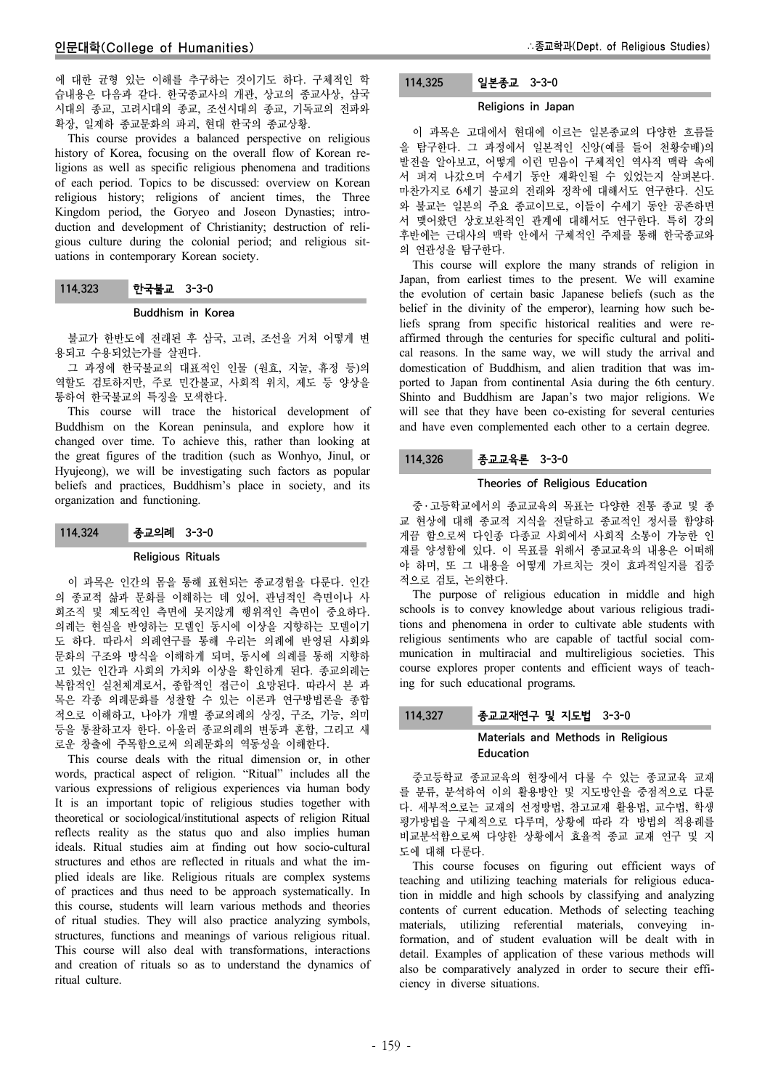에 대한 균형 있는 이해를 추구하는 것이기도 하다. 구체적인 학 습내용은 다음과 같다. 한국종교사의 개관, 상고의 종교사상, 삼국 시대의 종교, 고려시대의 종교, 조선시대의 종교, 기독교의 전파와 확장, 일제하 종교문화의 파괴, 현대 한국의 종교상황.

This course provides a balanced perspective on religious history of Korea, focusing on the overall flow of Korean religions as well as specific religious phenomena and traditions of each period. Topics to be discussed: overview on Korean religious history; religions of ancient times, the Three Kingdom period, the Goryeo and Joseon Dynasties; introduction and development of Christianity; destruction of religious culture during the colonial period; and religious situations in contemporary Korean society.

# 114.323 한국불교 3-3-0

### Buddhism in Korea

불교가 한반도에 전래된 후 삼국, 고려, 조선을 거쳐 어떻게 변 용되고 수용되었는가를 살핀다.

그 과정에 한국불교의 대표적인 인물 (원효, 지눌, 휴정 등)의 역할도 검토하지만, 주로 민간불교, 사회적 위치, 제도 등 양상을 통하여 한국불교의 특징을 모색한다.

This course will trace the historical development of Buddhism on the Korean peninsula, and explore how it changed over time. To achieve this, rather than looking at the great figures of the tradition (such as Wonhyo, Jinul, or Hyujeong), we will be investigating such factors as popular beliefs and practices, Buddhism's place in society, and its organization and functioning.

# 114.324 종교의례 3-3-0

#### Religious Rituals

이 과목은 인간의 몸을 통해 표현되는 종교경험을 다룬다. 인간 의 종교적 삶과 문화를 이해하는 데 있어, 관념적인 측면이나 사 회조직 및 제도적인 측면에 못지않게 행위적인 측면이 중요하다. 의례는 현실을 반영하는 모델인 동시에 이상을 지향하는 모델이기 도 하다. 따라서 의례연구를 통해 우리는 의례에 반영된 사회와 문화의 구조와 방식을 이해하게 되며, 동시에 의례를 통해 지향하 고 있는 인간과 사회의 가치와 이상을 확인하게 된다. 종교의례는 복합적인 실천체계로서, 종합적인 접근이 요망된다. 따라서 본 과 목은 각종 의례문화를 성찰할 수 있는 이론과 연구방법론을 종합 적으로 이해하고, 나아가 개별 종교의례의 상징, 구조, 기능, 의미 등을 통찰하고자 한다. 아울러 종교의례의 변동과 혼합, 그리고 새 로운 창출에 주목함으로써 의례문화의 역동성을 이해한다.

This course deals with the ritual dimension or, in other words, practical aspect of religion. "Ritual" includes all the various expressions of religious experiences via human body It is an important topic of religious studies together with theoretical or sociological/institutional aspects of religion Ritual reflects reality as the status quo and also implies human ideals. Ritual studies aim at finding out how socio-cultural structures and ethos are reflected in rituals and what the implied ideals are like. Religious rituals are complex systems of practices and thus need to be approach systematically. In this course, students will learn various methods and theories of ritual studies. They will also practice analyzing symbols, structures, functions and meanings of various religious ritual. This course will also deal with transformations, interactions and creation of rituals so as to understand the dynamics of ritual culture.

# 114.325 일본종교 3-3-0

### Religions in Japan

이 과목은 고대에서 현대에 이르는 일본종교의 다양한 흐름들 을 탐구한다. 그 과정에서 일본적인 신앙(예를 들어 천황숭배)의 발전을 알아보고, 어떻게 이런 믿음이 구체적인 역사적 맥락 속에 서 퍼져 나갔으며 수세기 동안 재확인될 수 있었는지 살펴본다. 마찬가지로 6세기 불교의 전래와 정착에 대해서도 연구한다. 신도 와 불교는 일본의 주요 종교이므로, 이들이 수세기 동안 공존하면 서 맺어왔던 상호보완적인 관계에 대해서도 연구한다. 특히 강의 후반에는 근대사의 맥락 안에서 구체적인 주제를 통해 한국종교와 의 연관성을 탐구한다.

This course will explore the many strands of religion in Japan, from earliest times to the present. We will examine the evolution of certain basic Japanese beliefs (such as the belief in the divinity of the emperor), learning how such beliefs sprang from specific historical realities and were reaffirmed through the centuries for specific cultural and political reasons. In the same way, we will study the arrival and domestication of Buddhism, and alien tradition that was imported to Japan from continental Asia during the 6th century. Shinto and Buddhism are Japan's two major religions. We will see that they have been co-existing for several centuries and have even complemented each other to a certain degree.

# 114.326 종교교육론 3-3-0

### Theories of Religious Education

중 ․ 고등학교에서의 종교교육의 목표는 다양한 전통 종교 및 종 교 현상에 대해 종교적 지식을 전달하고 종교적인 정서를 함양하 게끔 함으로써 다인종 다종교 사회에서 사회적 소통이 가능한 인 재를 양성함에 있다. 이 목표를 위해서 종교교육의 내용은 어떠해 야 하며, 또 그 내용을 어떻게 가르치는 것이 효과적일지를 집중 적으로 검토, 논의한다.

The purpose of religious education in middle and high schools is to convey knowledge about various religious traditions and phenomena in order to cultivate able students with religious sentiments who are capable of tactful social communication in multiracial and multireligious societies. This course explores proper contents and efficient ways of teaching for such educational programs.

# 114.327 종교교재연구 및 지도법 3-3-0

# Materials and Methods in Religious Education

중고등학교 종교교육의 현장에서 다룰 수 있는 종교교육 교재 를 분류, 분석하여 이의 활용방안 및 지도방안을 중점적으로 다룬 다. 세부적으로는 교재의 선정방법, 참고교재 활용법, 교수법, 학생 평가방법을 구체적으로 다루며, 상황에 따라 각 방법의 적용례를 비교분석함으로써 다양한 상황에서 효율적 종교 교재 연구 및 지 도에 대해 다룬다.

This course focuses on figuring out efficient ways of teaching and utilizing teaching materials for religious education in middle and high schools by classifying and analyzing contents of current education. Methods of selecting teaching materials, utilizing referential materials, conveying information, and of student evaluation will be dealt with in detail. Examples of application of these various methods will also be comparatively analyzed in order to secure their efficiency in diverse situations.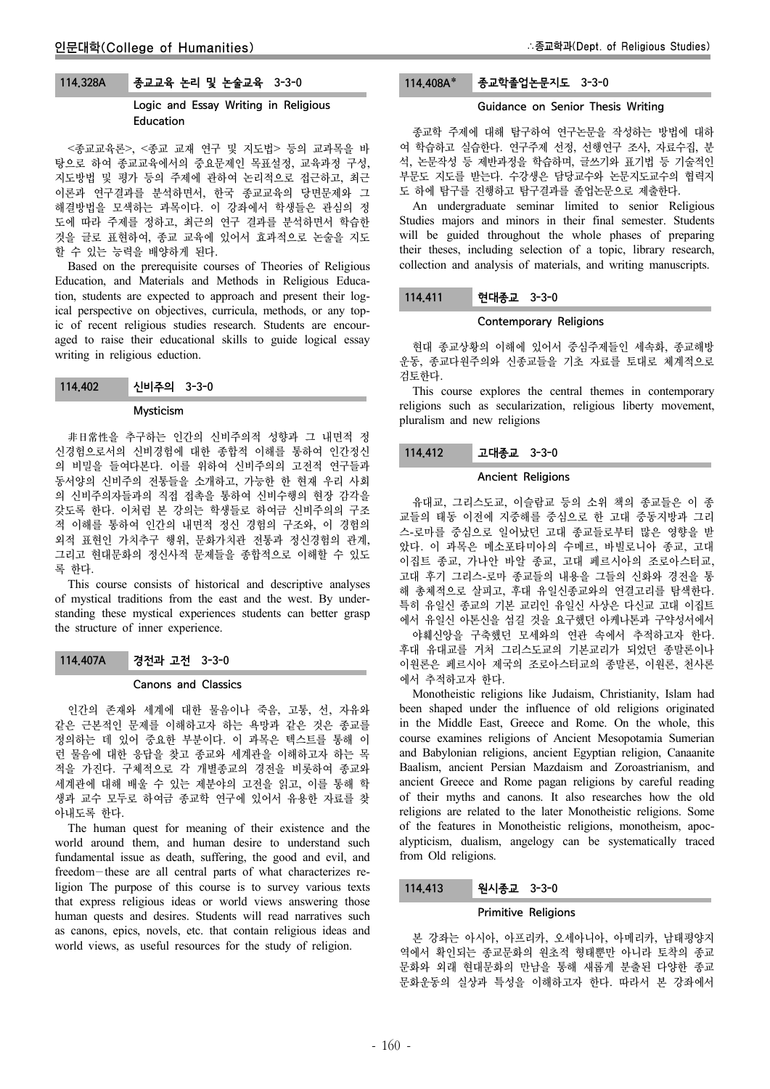# 114.328A 종교교육 논리 및 논술교육 3-3-0

# Logic and Essay Writing in Religious Education

<종교교육론>, <종교 교재 연구 및 지도법> 등의 교과목을 바 탕으로 하여 종교교육에서의 중요문제인 목표설정, 교육과정 구성, 지도방법 및 평가 등의 주제에 관하여 논리적으로 접근하고, 최근 이론과 연구결과를 분석하면서, 한국 종교교육의 당면문제와 그 해결방법을 모색하는 과목이다. 이 강좌에서 학생들은 관심의 정 도에 따라 주제를 정하고, 최근의 연구 결과를 분석하면서 학습한 것을 글로 표현하여, 종교 교육에 있어서 효과적으로 논술을 지도 할 수 있는 능력을 배양하게 된다.

Based on the prerequisite courses of Theories of Religious Education, and Materials and Methods in Religious Education, students are expected to approach and present their logical perspective on objectives, curricula, methods, or any topic of recent religious studies research. Students are encouraged to raise their educational skills to guide logical essay writing in religious eduction.

114.402 신비주의 3-3-0

### Mysticism

非日常性을 추구하는 인간의 신비주의적 성향과 그 내면적 정 신경험으로서의 신비경험에 대한 종합적 이해를 통하여 인간정신 의 비밀을 들여다본다. 이를 위하여 신비주의의 고전적 연구들과 동서양의 신비주의 전통들을 소개하고, 가능한 한 현재 우리 사회 의 신비주의자들과의 직접 접촉을 통하여 신비수행의 현장 감각을 갖도록 한다. 이처럼 본 강의는 학생들로 하여금 신비주의의 구조 적 이해를 통하여 인간의 내면적 정신 경험의 구조와, 이 경험의 외적 표현인 가치추구 행위, 문화가치관 전통과 정신경험의 관계, 그리고 현대문화의 정신사적 문제들을 종합적으로 이해할 수 있도 록 한다.

This course consists of historical and descriptive analyses of mystical traditions from the east and the west. By understanding these mystical experiences students can better grasp the structure of inner experience.

114.407A 경전과 고전 3-3-0

### Canons and Classics

인간의 존재와 세계에 대한 물음이나 죽음, 고통, 선, 자유와 같은 근본적인 문제를 이해하고자 하는 욕망과 같은 것은 종교를 정의하는 데 있어 중요한 부분이다. 이 과목은 텍스트를 통해 이 런 물음에 대한 응답을 찾고 종교와 세계관을 이해하고자 하는 목 적을 가진다. 구체적으로 각 개별종교의 경전을 비롯하여 종교와 세계관에 대해 배울 수 있는 제분야의 고전을 읽고, 이를 통해 학 생과 교수 모두로 하여금 종교학 연구에 있어서 유용한 자료를 찾 아내도록 한다.

The human quest for meaning of their existence and the world around them, and human desire to understand such fundamental issue as death, suffering, the good and evil, and freedom-these are all central parts of what characterizes religion The purpose of this course is to survey various texts that express religious ideas or world views answering those human quests and desires. Students will read narratives such as canons, epics, novels, etc. that contain religious ideas and world views, as useful resources for the study of religion.

# 114.408A\* 종교학졸업논문지도 3-3-0

## Guidance on Senior Thesis Writing

종교학 주제에 대해 탐구하여 연구논문을 작성하는 방법에 대하 여 학습하고 실습한다. 연구주제 선정, 선행연구 조사, 자료수집, 분 석, 논문작성 등 제반과정을 학습하며, 글쓰기와 표기법 등 기술적인 부문도 지도를 받는다. 수강생은 담당교수와 논문지도교수의 협력지 도 하에 탐구를 진행하고 탐구결과를 졸업논문으로 제출한다.

An undergraduate seminar limited to senior Religious Studies majors and minors in their final semester. Students will be guided throughout the whole phases of preparing their theses, including selection of a topic, library research, collection and analysis of materials, and writing manuscripts.

### 114.411 현대종교 3-3-0

#### Contemporary Religions

현대 종교상황의 이해에 있어서 중심주제들인 세속화, 종교해방 운동, 종교다원주의와 신종교들을 기초 자료를 토대로 체계적으로 검토한다.

This course explores the central themes in contemporary religions such as secularization, religious liberty movement, pluralism and new religions

### 114.412 고대종교 3-3-0

#### Ancient Religions

유대교, 그리스도교, 이슬람교 등의 소위 책의 종교들은 이 종 교들의 태동 이전에 지중해를 중심으로 한 고대 중동지방과 그리 스-로마를 중심으로 일어났던 고대 종교들로부터 많은 영향을 받 았다. 이 과목은 메소포타미아의 수메르, 바빌로니아 종교, 고대 이집트 종교, 가나안 바알 종교, 고대 페르시아의 조로아스터교, 고대 후기 그리스-로마 종교들의 내용을 그들의 신화와 경전을 통 해 총체적으로 살피고, 후대 유일신종교와의 연결고리를 탐색한다. 특히 유일신 종교의 기본 교리인 유일신 사상은 다신교 고대 이집트 에서 유일신 아톤신을 섬길 것을 요구했던 아케나톤과 구약성서에서 야훼신앙을 구축했던 모세와의 연관 속에서 추적하고자 한다. 후대 유대교를 거처 그리스도교의 기본교리가 되었던 종말론이나 이원론은 페르시아 제국의 조로아스터교의 종말론, 이원론, 천사론 에서 추적하고자 한다.

Monotheistic religions like Judaism, Christianity, Islam had been shaped under the influence of old religions originated in the Middle East, Greece and Rome. On the whole, this course examines religions of Ancient Mesopotamia Sumerian and Babylonian religions, ancient Egyptian religion, Canaanite Baalism, ancient Persian Mazdaism and Zoroastrianism, and ancient Greece and Rome pagan religions by careful reading of their myths and canons. It also researches how the old religions are related to the later Monotheistic religions. Some of the features in Monotheistic religions, monotheism, apocalypticism, dualism, angelogy can be systematically traced from Old religions.

# 114.413 원시종교 3-3-0

# Primitive Religions

본 강좌는 아시아, 아프리카, 오세아니아, 아메리카, 남태평양지 역에서 확인되는 종교문화의 원초적 형태뿐만 아니라 토착의 종교 문화와 외래 현대문화의 만남을 통해 새롭게 분출된 다양한 종교 문화운동의 실상과 특성을 이해하고자 한다. 따라서 본 강좌에서